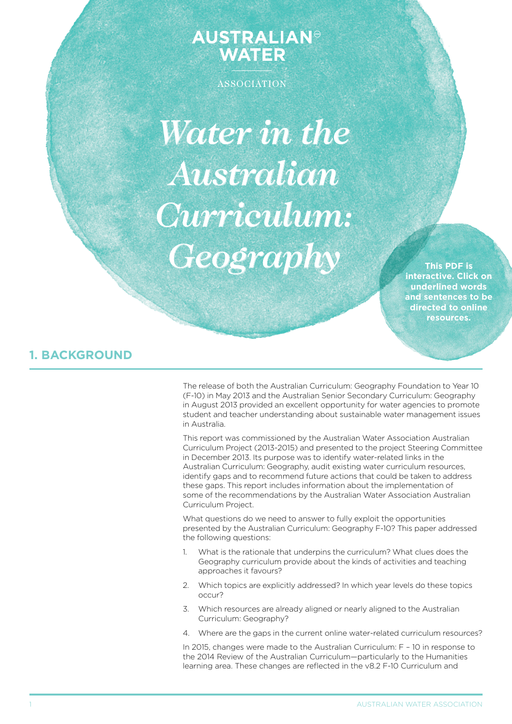# **AUSTRALIAN<sup>®</sup>**<br>WATER

ASSOCIATION

*Water in the Australian Curriculum: Geography*

**This PDF is interactive. Click on underlined words and sentences to be directed to online resources.**

## **1. BACKGROUND**

The release of both the Australian Curriculum: Geography Foundation to Year 10 (F-10) in May 2013 and the Australian Senior Secondary Curriculum: Geography in August 2013 provided an excellent opportunity for water agencies to promote student and teacher understanding about sustainable water management issues in Australia.

This report was commissioned by the Australian Water Association Australian Curriculum Project (2013-2015) and presented to the project Steering Committee in December 2013. Its purpose was to identify water-related links in the Australian Curriculum: Geography, audit existing water curriculum resources, identify gaps and to recommend future actions that could be taken to address these gaps. This report includes information about the implementation of some of the recommendations by the Australian Water Association Australian Curriculum Project.

What questions do we need to answer to fully exploit the opportunities presented by the Australian Curriculum: Geography F-10? This paper addressed the following questions:

- 1. What is the rationale that underpins the curriculum? What clues does the Geography curriculum provide about the kinds of activities and teaching approaches it favours?
- 2. Which topics are explicitly addressed? In which year levels do these topics occur?
- 3. Which resources are already aligned or nearly aligned to the Australian Curriculum: Geography?
- 4. Where are the gaps in the current online water-related curriculum resources?

In 2015, changes were made to the Australian Curriculum: F – 10 in response to the 2014 Review of the Australian Curriculum—particularly to the Humanities learning area. These changes are reflected in the v8.2 F-10 Curriculum and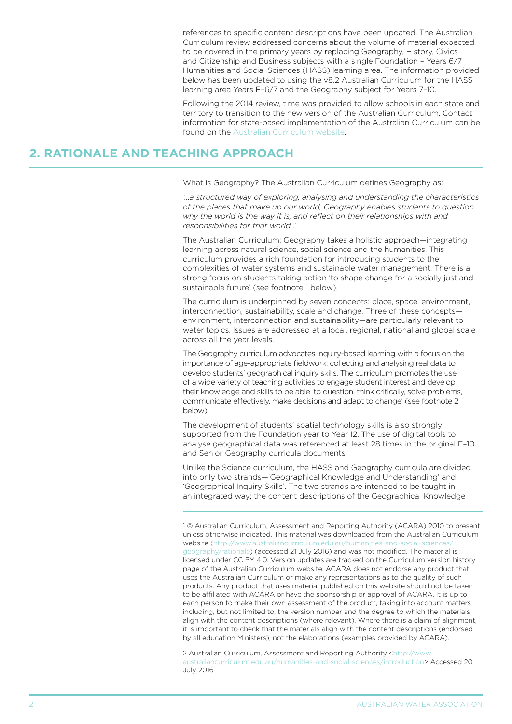references to specific content descriptions have been updated. The Australian Curriculum review addressed concerns about the volume of material expected to be covered in the primary years by replacing Geography, History, Civics and Citizenship and Business subjects with a single Foundation – Years 6/7 Humanities and Social Sciences (HASS) learning area. The information provided below has been updated to using the v8.2 Australian Curriculum for the HASS learning area Years F–6/7 and the Geography subject for Years 7–10.

Following the 2014 review, time was provided to allow schools in each state and territory to transition to the new version of the Australian Curriculum. Contact information for state-based implementation of the Australian Curriculum can be found on the [Australian Curriculum website.](http://www.australiancurriculum.edu.au/curriculum/overview)

## **2. RATIONALE AND TEACHING APPROACH**

What is Geography? The Australian Curriculum defines Geography as:

*'…a structured way of exploring, analysing and understanding the characteristics of the places that make up our world, Geography enables students to question why the world is the way it is, and reflect on their relationships with and responsibilities for that world .'*

The Australian Curriculum: Geography takes a holistic approach—integrating learning across natural science, social science and the humanities. This curriculum provides a rich foundation for introducing students to the complexities of water systems and sustainable water management. There is a strong focus on students taking action 'to shape change for a socially just and sustainable future' (see footnote 1 below).

The curriculum is underpinned by seven concepts: place, space, environment, interconnection, sustainability, scale and change. Three of these concepts environment, interconnection and sustainability—are particularly relevant to water topics. Issues are addressed at a local, regional, national and global scale across all the year levels.

The Geography curriculum advocates inquiry-based learning with a focus on the importance of age-appropriate fieldwork: collecting and analysing real data to develop students' geographical inquiry skills. The curriculum promotes the use of a wide variety of teaching activities to engage student interest and develop their knowledge and skills to be able 'to question, think critically, solve problems, communicate effectively, make decisions and adapt to change' (see footnote 2 below).

The development of students' spatial technology skills is also strongly supported from the Foundation year to Year 12. The use of digital tools to analyse geographical data was referenced at least 28 times in the original F–10 and Senior Geography curricula documents.

Unlike the Science curriculum, the HASS and Geography curricula are divided into only two strands—'Geographical Knowledge and Understanding' and 'Geographical Inquiry Skills'. The two strands are intended to be taught in an integrated way; the content descriptions of the Geographical Knowledge

1 © Australian Curriculum, Assessment and Reporting Authority (ACARA) 2010 to present, unless otherwise indicated. This material was downloaded from the Australian Curriculum website [\(http://www.australiancurriculum.edu.au/humanities-and-social-sciences/](http://www.australiancurriculum.edu.au/humanities-and-social-sciences/geography/rationale) [geography/rationale\)](http://www.australiancurriculum.edu.au/humanities-and-social-sciences/geography/rationale) (accessed 21 July 2016) and was not modified. The material is licensed under CC BY 4.0. Version updates are tracked on the Curriculum version history page of the Australian Curriculum website. ACARA does not endorse any product that uses the Australian Curriculum or make any representations as to the quality of such products. Any product that uses material published on this website should not be taken to be affiliated with ACARA or have the sponsorship or approval of ACARA. It is up to each person to make their own assessment of the product, taking into account matters including, but not limited to, the version number and the degree to which the materials align with the content descriptions (where relevant). Where there is a claim of alignment, it is important to check that the materials align with the content descriptions (endorsed by all education Ministers), not the elaborations (examples provided by ACARA).

2 Australian Curriculum, Assessment and Reporting Authority [<http://www.](http://www.australiancurriculum.edu.au/humanities-and-social-sciences/introduction) [australiancurriculum.edu.au/humanities-and-social-sciences/introduction](http://www.australiancurriculum.edu.au/humanities-and-social-sciences/introduction)> Accessed 20 July 2016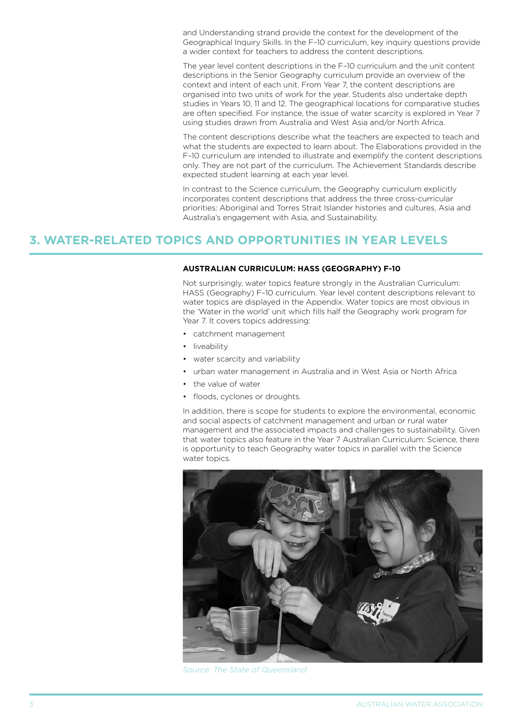and Understanding strand provide the context for the development of the Geographical Inquiry Skills. In the F–10 curriculum, key inquiry questions provide a wider context for teachers to address the content descriptions.

The year level content descriptions in the F–10 curriculum and the unit content descriptions in the Senior Geography curriculum provide an overview of the context and intent of each unit. From Year 7, the content descriptions are organised into two units of work for the year. Students also undertake depth studies in Years 10, 11 and 12. The geographical locations for comparative studies are often specified. For instance, the issue of water scarcity is explored in Year 7 using studies drawn from Australia and West Asia and/or North Africa.

The content descriptions describe what the teachers are expected to teach and what the students are expected to learn about. The Elaborations provided in the F–10 curriculum are intended to illustrate and exemplify the content descriptions only. They are not part of the curriculum. The Achievement Standards describe expected student learning at each year level.

In contrast to the Science curriculum, the Geography curriculum explicitly incorporates content descriptions that address the three cross-curricular priorities: Aboriginal and Torres Strait Islander histories and cultures, Asia and Australia's engagement with Asia, and Sustainability.

### **3. WATER-RELATED TOPICS AND OPPORTUNITIES IN YEAR LEVELS**

#### **AUSTRALIAN CURRICULUM: HASS (GEOGRAPHY) f-10**

Not surprisingly, water topics feature strongly in the Australian Curriculum: HASS (Geography) F–10 curriculum. Year level content descriptions relevant to water topics are displayed in the Appendix. Water topics are most obvious in the 'Water in the world' unit which fills half the Geography work program for Year 7. It covers topics addressing:

- catchment management
- liveability
- water scarcity and variability
- urban water management in Australia and in West Asia or North Africa
- • the value of water
- floods, cyclones or droughts.

In addition, there is scope for students to explore the environmental, economic and social aspects of catchment management and urban or rural water management and the associated impacts and challenges to sustainability. Given that water topics also feature in the Year 7 Australian Curriculum: Science, there is opportunity to teach Geography water topics in parallel with the Science water topics.



*Source: The State of Queensland*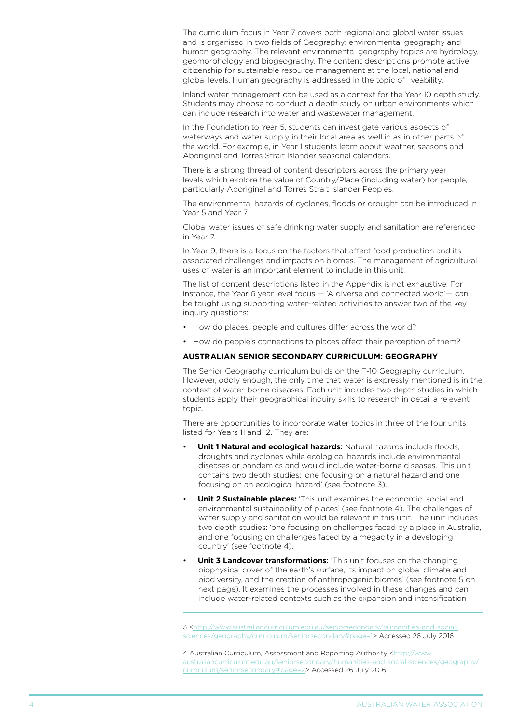The curriculum focus in Year 7 covers both regional and global water issues and is organised in two fields of Geography: environmental geography and human geography. The relevant environmental geography topics are hydrology, geomorphology and biogeography. The content descriptions promote active citizenship for sustainable resource management at the local, national and global levels. Human geography is addressed in the topic of liveability.

Inland water management can be used as a context for the Year 10 depth study. Students may choose to conduct a depth study on urban environments which can include research into water and wastewater management.

In the Foundation to Year 5, students can investigate various aspects of waterways and water supply in their local area as well in as in other parts of the world. For example, in Year 1 students learn about weather, seasons and Aboriginal and Torres Strait Islander seasonal calendars.

There is a strong thread of content descriptors across the primary year levels which explore the value of Country/Place (including water) for people, particularly Aboriginal and Torres Strait Islander Peoples.

The environmental hazards of cyclones, floods or drought can be introduced in Year 5 and Year 7.

Global water issues of safe drinking water supply and sanitation are referenced in Year 7.

In Year 9, there is a focus on the factors that affect food production and its associated challenges and impacts on biomes. The management of agricultural uses of water is an important element to include in this unit.

The list of content descriptions listed in the Appendix is not exhaustive. For instance, the Year 6 year level focus — 'A diverse and connected world'— can be taught using supporting water-related activities to answer two of the key inquiry questions:

- How do places, people and cultures differ across the world?
- How do people's connections to places affect their perception of them?

#### **AUSTRALIAN SENIOR SECONDARY CURRICULUM: GEOGRAPHY**

The Senior Geography curriculum builds on the F-10 Geography curriculum. However, oddly enough, the only time that water is expressly mentioned is in the context of water-borne diseases. Each unit includes two depth studies in which students apply their geographical inquiry skills to research in detail a relevant topic.

There are opportunities to incorporate water topics in three of the four units listed for Years 11 and 12. They are:

- **Unit 1 Natural and ecological hazards:** Natural hazards include floods, droughts and cyclones while ecological hazards include environmental diseases or pandemics and would include water-borne diseases. This unit contains two depth studies: 'one focusing on a natural hazard and one focusing on an ecological hazard' (see footnote 3).
- **Unit 2 Sustainable places:** 'This unit examines the economic, social and environmental sustainability of places' (see footnote 4). The challenges of water supply and sanitation would be relevant in this unit. The unit includes two depth studies: 'one focusing on challenges faced by a place in Australia, and one focusing on challenges faced by a megacity in a developing country' (see footnote 4).
- **Unit 3 Landcover transformations:** 'This unit focuses on the changing biophysical cover of the earth's surface, its impact on global climate and biodiversity, and the creation of anthropogenic biomes' (see footnote 5 on next page). It examines the processes involved in these changes and can include water-related contexts such as the expansion and intensification

3 <[http://www.australiancurriculum.edu.au/seniorsecondary/humanities-and-social](http://www.australiancurriculum.edu.au/seniorsecondary/humanities-and-social-sciences/geography/curriculum/seniorsecondary#page=1)[sciences/geography/curriculum/seniorsecondary#page=1>](http://www.australiancurriculum.edu.au/seniorsecondary/humanities-and-social-sciences/geography/curriculum/seniorsecondary#page=1) Accessed 26 July 2016

4 Australian Curriculum, Assessment and Reporting Authority <[http://www.](http://www.australiancurriculum.edu.au/seniorsecondary/humanities-and-social-sciences/geography/curriculum/seniorsecondary#page=2) [australiancurriculum.edu.au/seniorsecondary/humanities-and-social-sciences/geography/](http://www.australiancurriculum.edu.au/seniorsecondary/humanities-and-social-sciences/geography/curriculum/seniorsecondary#page=2) [curriculum/seniorsecondary#page=2>](http://www.australiancurriculum.edu.au/seniorsecondary/humanities-and-social-sciences/geography/curriculum/seniorsecondary#page=2) Accessed 26 July 2016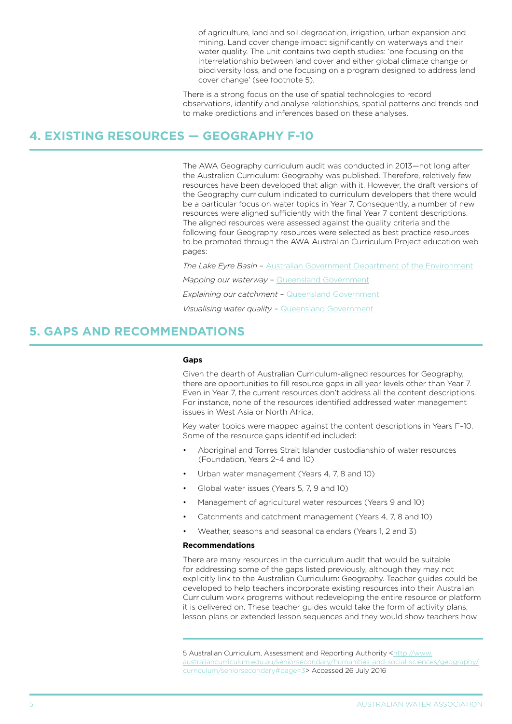of agriculture, land and soil degradation, irrigation, urban expansion and mining. Land cover change impact significantly on waterways and their water quality. The unit contains two depth studies: 'one focusing on the interrelationship between land cover and either global climate change or biodiversity loss, and one focusing on a program designed to address land cover change' (see footnote 5).

There is a strong focus on the use of spatial technologies to record observations, identify and analyse relationships, spatial patterns and trends and to make predictions and inferences based on these analyses.

#### **4. EXISTING RESOURCES — GEOGRAPHY F-10**

The AWA Geography curriculum audit was conducted in 2013—not long after the Australian Curriculum: Geography was published. Therefore, relatively few resources have been developed that align with it. However, the draft versions of the Geography curriculum indicated to curriculum developers that there would be a particular focus on water topics in Year 7. Consequently, a number of new resources were aligned sufficiently with the final Year 7 content descriptions. The aligned resources were assessed against the quality criteria and the following four Geography resources were selected as best practice resources to be promoted through the AWA Australian Curriculum Project education web pages:

*The Lake Eyre Basin* – [Australian Government Department of the Environment](http://www.environment.gov.au/water/education/publications/lake-eyre-basin-unique-river-system-worth-maintaining-teacher-guide-and-lesson-plans)

*Mapping our waterway* – [Queensland Government](https://publications.qld.gov.au/dataset/waterwise-education-resources/resource/a4b58574-23bb-45a6-9d2e-e72de7af632e)

*Explaining our catchment* – [Queensland Government](https://publications.qld.gov.au/dataset/waterwise-education-resources/resource/3c5452d5-478f-4af9-86ec-b7e7f1cf4742)

*Visualising water quality* – [Queensland Government](https://publications.qld.gov.au/dataset/waterwise-education-resources/resource/ba42553f-91f3-4497-b485-e6f872404b64)

## **5. GAPS AND RECOMMENDATIONS**

#### **Gaps**

Given the dearth of Australian Curriculum-aligned resources for Geography, there are opportunities to fill resource gaps in all year levels other than Year 7. Even in Year 7, the current resources don't address all the content descriptions. For instance, none of the resources identified addressed water management issues in West Asia or North Africa.

Key water topics were mapped against the content descriptions in Years F–10. Some of the resource gaps identified included:

- Aboriginal and Torres Strait Islander custodianship of water resources (Foundation, Years 2–4 and 10)
- Urban water management (Years 4, 7, 8 and 10)
- Global water issues (Years 5, 7, 9 and 10)
- Management of agricultural water resources (Years 9 and 10)
- Catchments and catchment management (Years 4, 7, 8 and 10)
- Weather, seasons and seasonal calendars (Years 1, 2 and 3)

#### **Recommendations**

There are many resources in the curriculum audit that would be suitable for addressing some of the gaps listed previously, although they may not explicitly link to the Australian Curriculum: Geography. Teacher guides could be developed to help teachers incorporate existing resources into their Australian Curriculum work programs without redeveloping the entire resource or platform it is delivered on. These teacher guides would take the form of activity plans, lesson plans or extended lesson sequences and they would show teachers how

5 Australian Curriculum, Assessment and Reporting Authority [<http://www.](http://www.australiancurriculum.edu.au/seniorsecondary/humanities-and-social-sciences/geography/curriculum/seniorsecondary#page=3) [australiancurriculum.edu.au/seniorsecondary/humanities-and-social-sciences/geography/](http://www.australiancurriculum.edu.au/seniorsecondary/humanities-and-social-sciences/geography/curriculum/seniorsecondary#page=3) [curriculum/seniorsecondary#page=3](http://www.australiancurriculum.edu.au/seniorsecondary/humanities-and-social-sciences/geography/curriculum/seniorsecondary#page=3)> Accessed 26 July 2016